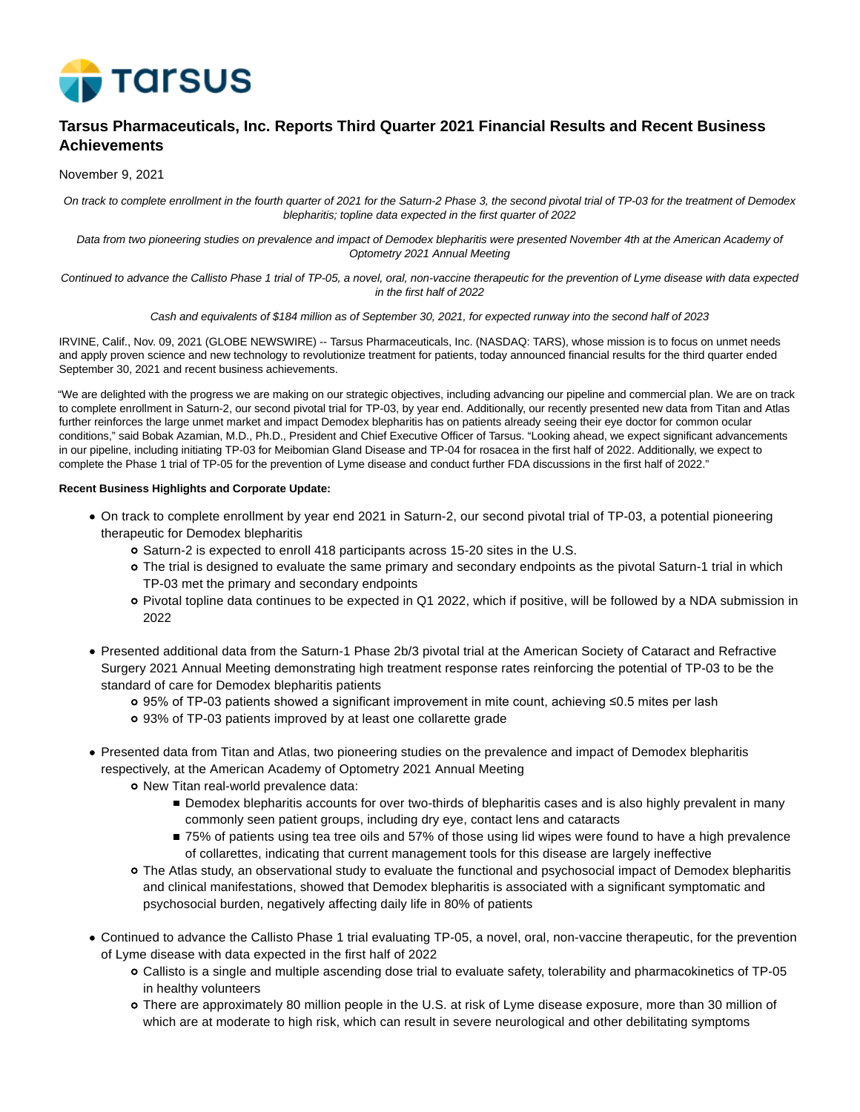

# **Tarsus Pharmaceuticals, Inc. Reports Third Quarter 2021 Financial Results and Recent Business Achievements**

November 9, 2021

On track to complete enrollment in the fourth quarter of 2021 for the Saturn-2 Phase 3, the second pivotal trial of TP-03 for the treatment of Demodex blepharitis; topline data expected in the first quarter of 2022

Data from two pioneering studies on prevalence and impact of Demodex blepharitis were presented November 4th at the American Academy of Optometry 2021 Annual Meeting

Continued to advance the Callisto Phase 1 trial of TP-05, a novel, oral, non-vaccine therapeutic for the prevention of Lyme disease with data expected in the first half of 2022

Cash and equivalents of \$184 million as of September 30, 2021, for expected runway into the second half of 2023

IRVINE, Calif., Nov. 09, 2021 (GLOBE NEWSWIRE) -- Tarsus Pharmaceuticals, Inc. (NASDAQ: TARS), whose mission is to focus on unmet needs and apply proven science and new technology to revolutionize treatment for patients, today announced financial results for the third quarter ended September 30, 2021 and recent business achievements.

"We are delighted with the progress we are making on our strategic objectives, including advancing our pipeline and commercial plan. We are on track to complete enrollment in Saturn-2, our second pivotal trial for TP-03, by year end. Additionally, our recently presented new data from Titan and Atlas further reinforces the large unmet market and impact Demodex blepharitis has on patients already seeing their eye doctor for common ocular conditions," said Bobak Azamian, M.D., Ph.D., President and Chief Executive Officer of Tarsus. "Looking ahead, we expect significant advancements in our pipeline, including initiating TP-03 for Meibomian Gland Disease and TP-04 for rosacea in the first half of 2022. Additionally, we expect to complete the Phase 1 trial of TP-05 for the prevention of Lyme disease and conduct further FDA discussions in the first half of 2022."

### **Recent Business Highlights and Corporate Update:**

- On track to complete enrollment by year end 2021 in Saturn-2, our second pivotal trial of TP-03, a potential pioneering therapeutic for Demodex blepharitis
	- o Saturn-2 is expected to enroll 418 participants across 15-20 sites in the U.S.
	- The trial is designed to evaluate the same primary and secondary endpoints as the pivotal Saturn-1 trial in which TP-03 met the primary and secondary endpoints
	- Pivotal topline data continues to be expected in Q1 2022, which if positive, will be followed by a NDA submission in 2022
- Presented additional data from the Saturn-1 Phase 2b/3 pivotal trial at the American Society of Cataract and Refractive Surgery 2021 Annual Meeting demonstrating high treatment response rates reinforcing the potential of TP-03 to be the standard of care for Demodex blepharitis patients
	- 95% of TP-03 patients showed a significant improvement in mite count, achieving ≤0.5 mites per lash
	- 93% of TP-03 patients improved by at least one collarette grade
- Presented data from Titan and Atlas, two pioneering studies on the prevalence and impact of Demodex blepharitis respectively, at the American Academy of Optometry 2021 Annual Meeting
	- o New Titan real-world prevalence data:
		- **Demodex blepharitis accounts for over two-thirds of blepharitis cases and is also highly prevalent in many** commonly seen patient groups, including dry eye, contact lens and cataracts
		- 75% of patients using tea tree oils and 57% of those using lid wipes were found to have a high prevalence of collarettes, indicating that current management tools for this disease are largely ineffective
	- The Atlas study, an observational study to evaluate the functional and psychosocial impact of Demodex blepharitis and clinical manifestations, showed that Demodex blepharitis is associated with a significant symptomatic and psychosocial burden, negatively affecting daily life in 80% of patients
- Continued to advance the Callisto Phase 1 trial evaluating TP-05, a novel, oral, non-vaccine therapeutic, for the prevention of Lyme disease with data expected in the first half of 2022
	- Callisto is a single and multiple ascending dose trial to evaluate safety, tolerability and pharmacokinetics of TP-05 in healthy volunteers
	- There are approximately 80 million people in the U.S. at risk of Lyme disease exposure, more than 30 million of which are at moderate to high risk, which can result in severe neurological and other debilitating symptoms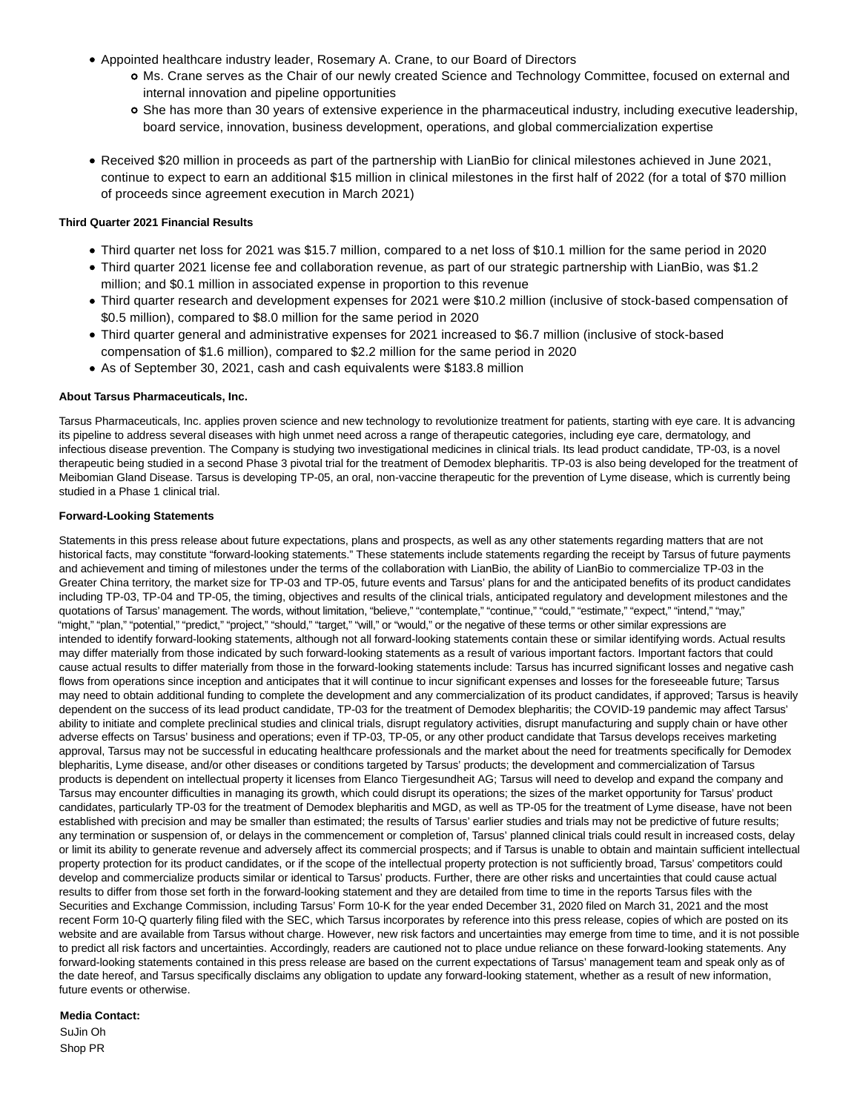- Appointed healthcare industry leader, Rosemary A. Crane, to our Board of Directors
	- Ms. Crane serves as the Chair of our newly created Science and Technology Committee, focused on external and internal innovation and pipeline opportunities
	- She has more than 30 years of extensive experience in the pharmaceutical industry, including executive leadership, board service, innovation, business development, operations, and global commercialization expertise
- Received \$20 million in proceeds as part of the partnership with LianBio for clinical milestones achieved in June 2021, continue to expect to earn an additional \$15 million in clinical milestones in the first half of 2022 (for a total of \$70 million of proceeds since agreement execution in March 2021)

# **Third Quarter 2021 Financial Results**

- Third quarter net loss for 2021 was \$15.7 million, compared to a net loss of \$10.1 million for the same period in 2020
- Third quarter 2021 license fee and collaboration revenue, as part of our strategic partnership with LianBio, was \$1.2 million; and \$0.1 million in associated expense in proportion to this revenue
- Third quarter research and development expenses for 2021 were \$10.2 million (inclusive of stock-based compensation of \$0.5 million), compared to \$8.0 million for the same period in 2020
- Third quarter general and administrative expenses for 2021 increased to \$6.7 million (inclusive of stock-based compensation of \$1.6 million), compared to \$2.2 million for the same period in 2020
- As of September 30, 2021, cash and cash equivalents were \$183.8 million

# **About Tarsus Pharmaceuticals, Inc.**

Tarsus Pharmaceuticals, Inc. applies proven science and new technology to revolutionize treatment for patients, starting with eye care. It is advancing its pipeline to address several diseases with high unmet need across a range of therapeutic categories, including eye care, dermatology, and infectious disease prevention. The Company is studying two investigational medicines in clinical trials. Its lead product candidate, TP-03, is a novel therapeutic being studied in a second Phase 3 pivotal trial for the treatment of Demodex blepharitis. TP-03 is also being developed for the treatment of Meibomian Gland Disease. Tarsus is developing TP-05, an oral, non-vaccine therapeutic for the prevention of Lyme disease, which is currently being studied in a Phase 1 clinical trial.

# **Forward-Looking Statements**

Statements in this press release about future expectations, plans and prospects, as well as any other statements regarding matters that are not historical facts, may constitute "forward-looking statements." These statements include statements regarding the receipt by Tarsus of future payments and achievement and timing of milestones under the terms of the collaboration with LianBio, the ability of LianBio to commercialize TP-03 in the Greater China territory, the market size for TP-03 and TP-05, future events and Tarsus' plans for and the anticipated benefits of its product candidates including TP-03, TP-04 and TP-05, the timing, objectives and results of the clinical trials, anticipated regulatory and development milestones and the quotations of Tarsus' management. The words, without limitation, "believe," "contemplate," "continue," "could," "estimate," "expect," "intend," "may," "might," "plan," "potential," "predict," "project," "should," "target," "will," or "would," or the negative of these terms or other similar expressions are intended to identify forward-looking statements, although not all forward-looking statements contain these or similar identifying words. Actual results may differ materially from those indicated by such forward-looking statements as a result of various important factors. Important factors that could cause actual results to differ materially from those in the forward-looking statements include: Tarsus has incurred significant losses and negative cash flows from operations since inception and anticipates that it will continue to incur significant expenses and losses for the foreseeable future; Tarsus may need to obtain additional funding to complete the development and any commercialization of its product candidates, if approved; Tarsus is heavily dependent on the success of its lead product candidate, TP-03 for the treatment of Demodex blepharitis; the COVID-19 pandemic may affect Tarsus' ability to initiate and complete preclinical studies and clinical trials, disrupt regulatory activities, disrupt manufacturing and supply chain or have other adverse effects on Tarsus' business and operations; even if TP-03, TP-05, or any other product candidate that Tarsus develops receives marketing approval, Tarsus may not be successful in educating healthcare professionals and the market about the need for treatments specifically for Demodex blepharitis, Lyme disease, and/or other diseases or conditions targeted by Tarsus' products; the development and commercialization of Tarsus products is dependent on intellectual property it licenses from Elanco Tiergesundheit AG; Tarsus will need to develop and expand the company and Tarsus may encounter difficulties in managing its growth, which could disrupt its operations; the sizes of the market opportunity for Tarsus' product candidates, particularly TP-03 for the treatment of Demodex blepharitis and MGD, as well as TP-05 for the treatment of Lyme disease, have not been established with precision and may be smaller than estimated; the results of Tarsus' earlier studies and trials may not be predictive of future results; any termination or suspension of, or delays in the commencement or completion of, Tarsus' planned clinical trials could result in increased costs, delay or limit its ability to generate revenue and adversely affect its commercial prospects; and if Tarsus is unable to obtain and maintain sufficient intellectual property protection for its product candidates, or if the scope of the intellectual property protection is not sufficiently broad, Tarsus' competitors could develop and commercialize products similar or identical to Tarsus' products. Further, there are other risks and uncertainties that could cause actual results to differ from those set forth in the forward-looking statement and they are detailed from time to time in the reports Tarsus files with the Securities and Exchange Commission, including Tarsus' Form 10-K for the year ended December 31, 2020 filed on March 31, 2021 and the most recent Form 10-Q quarterly filing filed with the SEC, which Tarsus incorporates by reference into this press release, copies of which are posted on its website and are available from Tarsus without charge. However, new risk factors and uncertainties may emerge from time to time, and it is not possible to predict all risk factors and uncertainties. Accordingly, readers are cautioned not to place undue reliance on these forward-looking statements. Any forward-looking statements contained in this press release are based on the current expectations of Tarsus' management team and speak only as of the date hereof, and Tarsus specifically disclaims any obligation to update any forward-looking statement, whether as a result of new information, future events or otherwise.

# **Media Contact:**

SuJin Oh Shop PR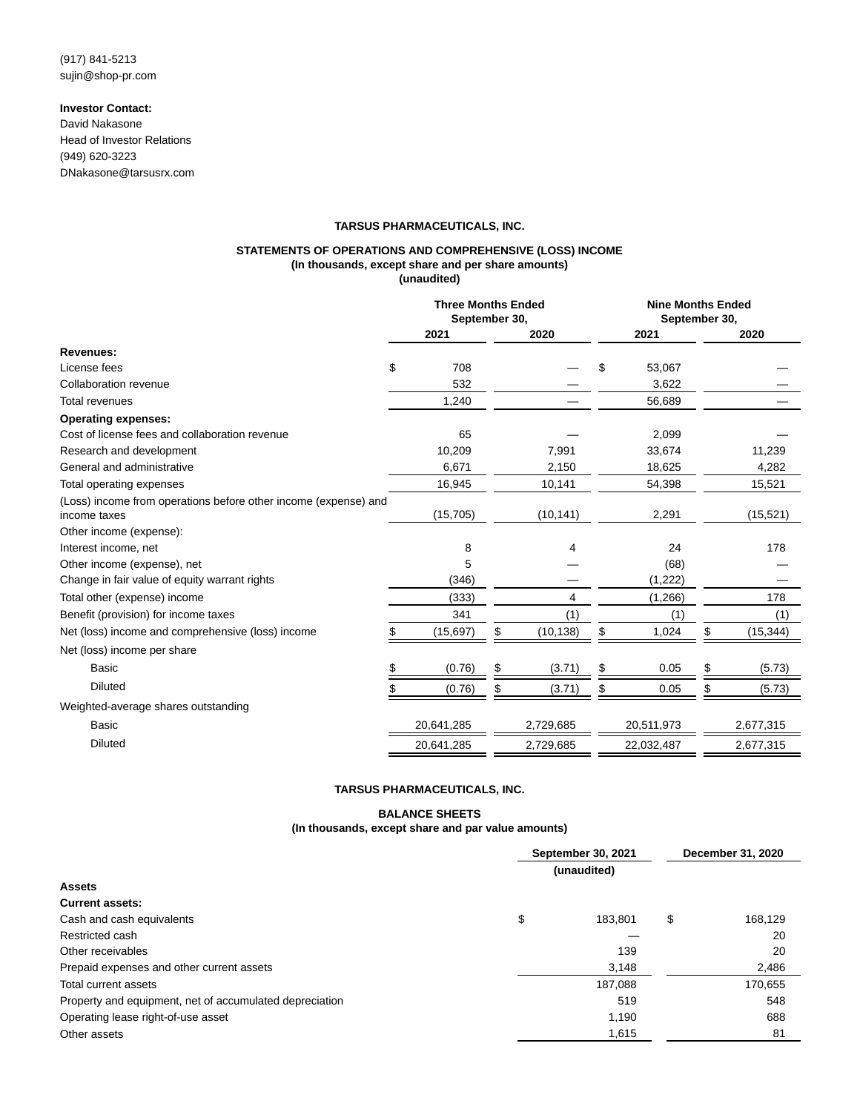# **Investor Contact:**

David Nakasone Head of Investor Relations (949) 620-3223 DNakasone@tarsusrx.com

### **TARSUS PHARMACEUTICALS, INC.**

#### **STATEMENTS OF OPERATIONS AND COMPREHENSIVE (LOSS) INCOME (In thousands, except share and per share amounts) (unaudited)**

|                                                                                 | <b>Three Months Ended</b><br>September 30, |            |    |           | <b>Nine Months Ended</b><br>September 30, |            |    |           |
|---------------------------------------------------------------------------------|--------------------------------------------|------------|----|-----------|-------------------------------------------|------------|----|-----------|
|                                                                                 |                                            | 2021       |    | 2020      |                                           | 2021       |    | 2020      |
| <b>Revenues:</b>                                                                |                                            |            |    |           |                                           |            |    |           |
| License fees                                                                    | \$                                         | 708        |    |           | \$                                        | 53,067     |    |           |
| Collaboration revenue                                                           |                                            | 532        |    |           |                                           | 3,622      |    |           |
| <b>Total revenues</b>                                                           |                                            | 1,240      |    |           |                                           | 56,689     |    |           |
| <b>Operating expenses:</b>                                                      |                                            |            |    |           |                                           |            |    |           |
| Cost of license fees and collaboration revenue                                  |                                            | 65         |    |           |                                           | 2,099      |    |           |
| Research and development                                                        |                                            | 10,209     |    | 7,991     |                                           | 33,674     |    | 11,239    |
| General and administrative                                                      |                                            | 6,671      |    | 2,150     |                                           | 18,625     |    | 4,282     |
| Total operating expenses                                                        |                                            | 16.945     |    | 10,141    |                                           | 54,398     |    | 15,521    |
| (Loss) income from operations before other income (expense) and<br>income taxes |                                            | (15, 705)  |    | (10, 141) |                                           | 2,291      |    | (15, 521) |
| Other income (expense):                                                         |                                            |            |    |           |                                           |            |    |           |
| Interest income, net                                                            |                                            | 8          |    | 4         |                                           | 24         |    | 178       |
| Other income (expense), net                                                     |                                            | 5          |    |           |                                           | (68)       |    |           |
| Change in fair value of equity warrant rights                                   |                                            | (346)      |    |           |                                           | (1,222)    |    |           |
| Total other (expense) income                                                    |                                            | (333)      |    | 4         |                                           | (1,266)    |    | 178       |
| Benefit (provision) for income taxes                                            |                                            | 341        |    | (1)       |                                           | (1)        |    | (1)       |
| Net (loss) income and comprehensive (loss) income                               |                                            | (15,697)   | \$ | (10, 138) | S                                         | 1,024      | \$ | (15, 344) |
| Net (loss) income per share                                                     |                                            |            |    |           |                                           |            |    |           |
| Basic                                                                           |                                            | (0.76)     | \$ | (3.71)    |                                           | 0.05       | S  | (5.73)    |
| <b>Diluted</b>                                                                  |                                            | (0.76)     | \$ | (3.71)    | \$                                        | 0.05       | S  | (5.73)    |
| Weighted-average shares outstanding                                             |                                            |            |    |           |                                           |            |    |           |
| Basic                                                                           |                                            | 20,641,285 |    | 2,729,685 |                                           | 20,511,973 |    | 2,677,315 |
| <b>Diluted</b>                                                                  |                                            | 20,641,285 |    | 2,729,685 |                                           | 22,032,487 |    | 2,677,315 |

### **TARSUS PHARMACEUTICALS, INC.**

### **BALANCE SHEETS**

# **(In thousands, except share and par value amounts)**

|                                                         | September 30, 2021 | December 31, 2020 |    |         |
|---------------------------------------------------------|--------------------|-------------------|----|---------|
|                                                         |                    | (unaudited)       |    |         |
| <b>Assets</b>                                           |                    |                   |    |         |
| <b>Current assets:</b>                                  |                    |                   |    |         |
| Cash and cash equivalents                               | \$                 | 183.801           | \$ | 168,129 |
| Restricted cash                                         |                    |                   |    | 20      |
| Other receivables                                       |                    | 139               |    | 20      |
| Prepaid expenses and other current assets               |                    | 3,148             |    | 2,486   |
| Total current assets                                    |                    | 187.088           |    | 170,655 |
| Property and equipment, net of accumulated depreciation |                    | 519               |    | 548     |
| Operating lease right-of-use asset                      |                    | 1.190             |    | 688     |
| Other assets                                            |                    | 1,615             |    | 81      |